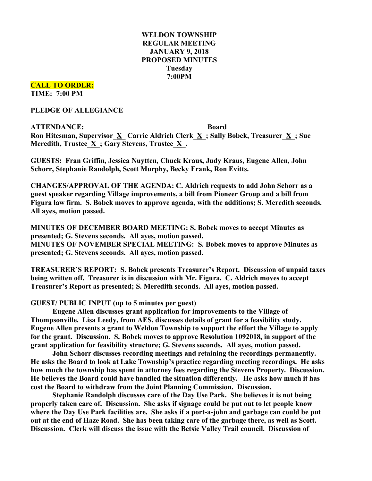# **WELDON TOWNSHIP REGULAR MEETING JANUARY 9, 2018 PROPOSED MINUTES Tuesday 7:00PM**

**CALL TO ORDER: TIME: 7:00 PM**

**PLEDGE OF ALLEGIANCE**

**ATTENDANCE: Board Ron Hitesman, Supervisor\_X\_ Carrie Aldrich Clerk\_X\_; Sally Bobek, Treasurer\_X\_; Sue Meredith, Trustee\_X\_; Gary Stevens, Trustee\_X\_.**

**GUESTS: Fran Griffin, Jessica Nuytten, Chuck Kraus, Judy Kraus, Eugene Allen, John Schorr, Stephanie Randolph, Scott Murphy, Becky Frank, Ron Evitts.**

**CHANGES/APPROVAL OF THE AGENDA: C. Aldrich requests to add John Schorr as a guest speaker regarding Village improvements, a bill from Pioneer Group and a bill from Figura law firm. S. Bobek moves to approve agenda, with the additions; S. Meredith seconds. All ayes, motion passed.**

**MINUTES OF DECEMBER BOARD MEETING: S. Bobek moves to accept Minutes as presented; G. Stevens seconds. All ayes, motion passed. MINUTES OF NOVEMBER SPECIAL MEETING: S. Bobek moves to approve Minutes as presented; G. Stevens seconds. All ayes, motion passed.**

**TREASURER'S REPORT: S. Bobek presents Treasurer's Report. Discussion of unpaid taxes being written off. Treasurer is in discussion with Mr. Figura. C. Aldrich moves to accept Treasurer's Report as presented; S. Meredith seconds. All ayes, motion passed.**

**GUEST/ PUBLIC INPUT (up to 5 minutes per guest)**

**Eugene Allen discusses grant application for improvements to the Village of Thompsonville. Lisa Leedy, from AES, discusses details of grant for a feasibility study. Eugene Allen presents a grant to Weldon Township to support the effort the Village to apply for the grant. Discussion. S. Bobek moves to approve Resolution 1092018, in support of the grant application for feasibility structure; G. Stevens seconds. All ayes, motion passed.**

**John Schorr discusses recording meetings and retaining the recordings permanently. He asks the Board to look at Lake Township's practice regarding meeting recordings. He asks how much the township has spent in attorney fees regarding the Stevens Property. Discussion. He believes the Board could have handled the situation differently. He asks how much it has cost the Board to withdraw from the Joint Planning Commission. Discussion.**

**Stephanie Randolph discusses care of the Day Use Park. She believes it is not being properly taken care of. Discussion. She asks if signage could be put out to let people know where the Day Use Park facilities are. She asks if a port-a-john and garbage can could be put** out at the end of Haze Road. She has been taking care of the garbage there, as well as Scott. **Discussion. Clerk will discuss the issue with the Betsie Valley Trail council. Discussion of**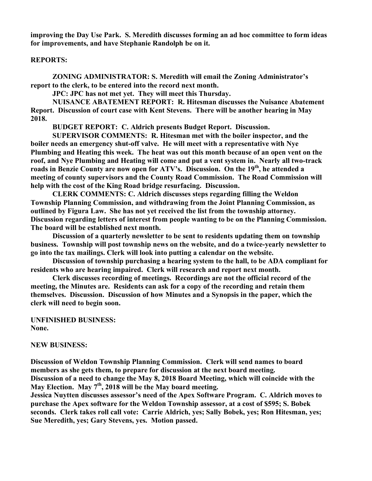**improving the Day Use Park. S. Meredith discusses forming an ad hoc committee to form ideas for improvements, and have Stephanie Randolph be on it.**

## **REPORTS:**

**ZONING ADMINISTRATOR: S. Meredith will email the Zoning Administrator's report to the clerk, to be entered into the record next month.**

**JPC: JPC has not met yet. They will meet this Thursday.**

**NUISANCE ABATEMENT REPORT: R. Hitesman discusses the Nuisance Abatement Report. Discussion of court case with Kent Stevens. There will be another hearing in May 2018.**

**BUDGET REPORT: C. Aldrich presents Budget Report. Discussion.**

**SUPERVISOR COMMENTS: R. Hitesman met with the boiler inspector, and the boiler needs an emergency shut-off valve. He will meet with a representative with Nye Plumbing and Heating this week. The heat was out this month because of an open vent on the roof, and Nye Plumbing and Heating will come and put a vent system in. Nearly all two-track roads in Benzie County are now open for ATV's. Discussion. On the 19th, he attended a meeting of county supervisors and the County Road Commission. The Road Commission will help with the cost of the King Road bridge resurfacing. Discussion.**

**CLERK COMMENTS: C. Aldrich discusses steps regarding filling the Weldon Township Planning Commission, and withdrawing from the Joint Planning Commission, as outlined by Figura Law. She has not yet received the list from the township attorney. Discussion regarding letters of interest from people wanting to be on the Planning Commission. The board will be established next month.**

**Discussion of a quarterly newsletter to be sent to residents updating them on township business. Township will post township news on the website, and do a twice-yearly newsletter to go into the tax mailings. Clerk will look into putting a calendar on the website.**

**Discussion of township purchasing a hearing system to the hall, to be ADA compliant for residents who are hearing impaired. Clerk will research and report next month.**

**Clerk discusses recording of meetings. Recordings are not the official record of the meeting, the Minutes are. Residents can ask for a copy of the recording and retain them themselves. Discussion. Discussion of how Minutes and a Synopsis in the paper, which the clerk will need to begin soon.**

### **UNFINISHED BUSINESS: None.**

#### **NEW BUSINESS:**

**Discussion of Weldon Township Planning Commission. Clerk will send names to board members as she gets them, to prepare for discussion at the next board meeting. Discussion of a need to change the May 8, 2018 Board Meeting, which will coincide with the May Election. May 7th, 2018 will be the May board meeting.**

**Jessica Nuytten discusses assessor's need of the Apex Software Program. C. Aldrich moves to purchase the Apex software for the Weldon Township assessor, at a cost of \$595; S. Bobek seconds. Clerk takes roll call vote: Carrie Aldrich, yes; Sally Bobek, yes; Ron Hitesman, yes; Sue Meredith, yes; Gary Stevens, yes. Motion passed.**